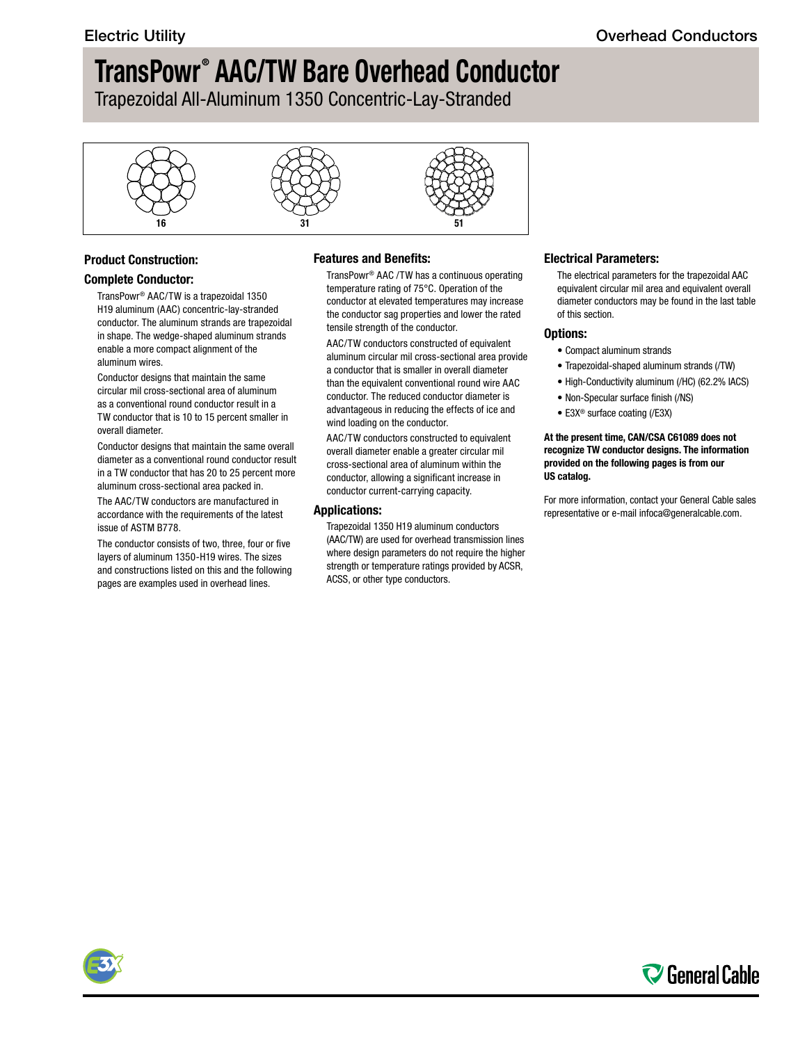Trapezoidal All-Aluminum 1350 Concentric-Lay-Stranded



## **Product Construction:**

#### **Complete Conductor:**

TransPowr® AAC/TW is a trapezoidal 1350 H19 aluminum (AAC) concentric-lay-stranded conductor. The aluminum strands are trapezoidal in shape. The wedge-shaped aluminum strands enable a more compact alignment of the aluminum wires.

Conductor designs that maintain the same circular mil cross-sectional area of aluminum as a conventional round conductor result in a TW conductor that is 10 to 15 percent smaller in overall diameter.

Conductor designs that maintain the same overall diameter as a conventional round conductor result in a TW conductor that has 20 to 25 percent more aluminum cross-sectional area packed in.

The AAC/TW conductors are manufactured in accordance with the requirements of the latest issue of ASTM B778.

The conductor consists of two, three, four or five layers of aluminum 1350-H19 wires. The sizes and constructions listed on this and the following pages are examples used in overhead lines.

### **Features and Benefits:**

TransPowr® AAC /TW has a continuous operating temperature rating of 75°C. Operation of the conductor at elevated temperatures may increase the conductor sag properties and lower the rated tensile strength of the conductor.

AAC/TW conductors constructed of equivalent aluminum circular mil cross-sectional area provide a conductor that is smaller in overall diameter than the equivalent conventional round wire AAC conductor. The reduced conductor diameter is advantageous in reducing the effects of ice and wind loading on the conductor.

AAC/TW conductors constructed to equivalent overall diameter enable a greater circular mil cross-sectional area of aluminum within the conductor, allowing a significant increase in conductor current-carrying capacity.

#### **Applications:**

Trapezoidal 1350 H19 aluminum conductors (AAC/TW) are used for overhead transmission lines where design parameters do not require the higher strength or temperature ratings provided by ACSR, ACSS, or other type conductors.

#### **Electrical Parameters:**

The electrical parameters for the trapezoidal AAC equivalent circular mil area and equivalent overall diameter conductors may be found in the last table of this section.

#### **Options:**

- Compact aluminum strands
- Trapezoidal-shaped aluminum strands (/TW)
- High-Conductivity aluminum (/HC) (62.2% IACS)
- Non-Specular surface finish (/NS)
- E3X® surface coating (/E3X)

#### **At the present time, CAN/CSA C61089 does not recognize TW conductor designs. The information provided on the following pages is from our US catalog.**

For more information, contact your General Cable sales representative or e-mail [infoca@generalcable.com.](mailto:infoca@generalcable.com)



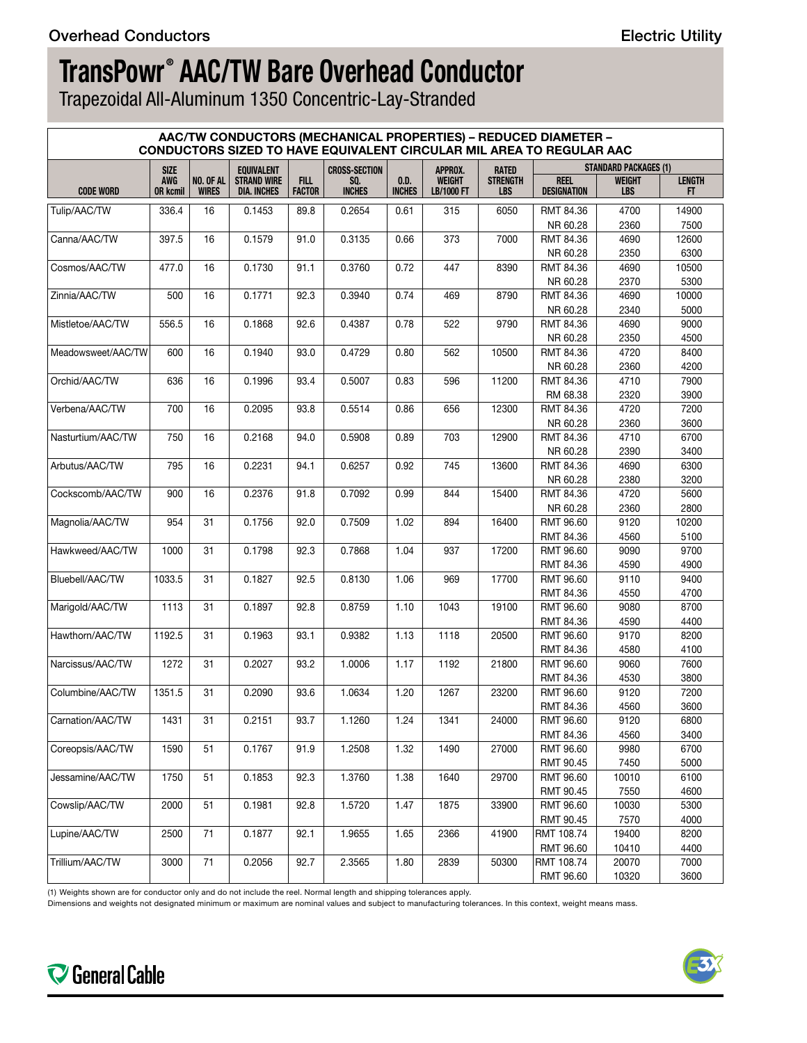Trapezoidal All-Aluminum 1350 Concentric-Lay-Stranded

| AAC/TW CONDUCTORS (MECHANICAL PROPERTIES) - REDUCED DIAMETER -<br>CONDUCTORS SIZED TO HAVE EQUIVALENT CIRCULAR MIL AREA TO REGULAR AAC |                               |                           |                                   |                              |                      |                       |                             |                               |                                   |                              |                     |  |
|----------------------------------------------------------------------------------------------------------------------------------------|-------------------------------|---------------------------|-----------------------------------|------------------------------|----------------------|-----------------------|-----------------------------|-------------------------------|-----------------------------------|------------------------------|---------------------|--|
|                                                                                                                                        | <b>SIZE</b>                   |                           | <b>EQUIVALENT</b>                 |                              | <b>CROSS-SECTION</b> |                       | APPROX.                     | <b>RATED</b>                  |                                   | <b>STANDARD PACKAGES (1)</b> |                     |  |
| <b>CODE WORD</b>                                                                                                                       | <b>AWG</b><br><b>OR kcmil</b> | NO. OF AL<br><b>WIRES</b> | <b>STRAND WIRE</b><br>DIA. INCHES | <b>FILL</b><br><b>FACTOR</b> | SQ.<br><b>INCHES</b> | 0.D.<br><b>INCHES</b> | <b>WEIGHT</b><br>LB/1000 FT | <b>STRENGTH</b><br><b>LBS</b> | <b>REEL</b><br><b>DESIGNATION</b> | <b>WEIGHT</b><br><b>LBS</b>  | <b>LENGTH</b><br>FT |  |
| Tulip/AAC/TW                                                                                                                           | 336.4                         | 16                        | 0.1453                            | 89.8                         | 0.2654               | 0.61                  | 315                         | 6050                          | RMT 84.36<br>NR 60.28             | 4700<br>2360                 | 14900<br>7500       |  |
| Canna/AAC/TW                                                                                                                           | 397.5                         | 16                        | 0.1579                            | 91.0                         | 0.3135               | 0.66                  | 373                         | 7000                          | RMT 84.36                         | 4690                         | 12600               |  |
|                                                                                                                                        |                               |                           |                                   |                              |                      |                       |                             |                               | NR 60.28                          | 2350                         | 6300                |  |
| Cosmos/AAC/TW                                                                                                                          | 477.0                         | 16                        | 0.1730                            | 91.1                         | 0.3760               | 0.72                  | 447                         | 8390                          | RMT 84.36                         | 4690                         | 10500               |  |
|                                                                                                                                        |                               |                           |                                   |                              |                      |                       |                             |                               | NR 60.28                          | 2370                         | 5300                |  |
| Zinnia/AAC/TW                                                                                                                          | 500                           | 16                        | 0.1771                            | 92.3                         | 0.3940               | 0.74                  | 469                         | 8790                          | RMT 84.36                         | 4690                         | 10000               |  |
|                                                                                                                                        |                               |                           |                                   |                              |                      |                       |                             |                               | NR 60.28                          | 2340                         | 5000                |  |
| Mistletoe/AAC/TW                                                                                                                       | 556.5                         | 16                        | 0.1868                            | 92.6                         | 0.4387               | 0.78                  | 522                         | 9790                          | RMT 84.36                         | 4690                         | 9000                |  |
|                                                                                                                                        |                               |                           |                                   |                              |                      |                       |                             |                               | NR 60.28                          | 2350                         | 4500                |  |
| Meadowsweet/AAC/TW                                                                                                                     | 600                           | 16                        | 0.1940                            | 93.0                         | 0.4729               | 0.80                  | 562                         | 10500                         | RMT 84.36                         | 4720                         | 8400                |  |
|                                                                                                                                        |                               |                           |                                   |                              |                      |                       |                             |                               | NR 60.28                          | 2360                         | 4200                |  |
| Orchid/AAC/TW                                                                                                                          | 636                           | 16                        | 0.1996                            | 93.4                         | 0.5007               | 0.83                  | 596                         | 11200                         | RMT 84.36                         | 4710                         | 7900                |  |
|                                                                                                                                        |                               |                           |                                   |                              |                      |                       |                             |                               | RM 68.38                          | 2320                         | 3900                |  |
| Verbena/AAC/TW                                                                                                                         | 700                           | 16                        | 0.2095                            | 93.8                         | 0.5514               | 0.86                  | 656                         | 12300                         | RMT 84.36                         | 4720                         | 7200                |  |
|                                                                                                                                        |                               |                           |                                   |                              |                      |                       |                             |                               | NR 60.28                          | 2360                         | 3600                |  |
| Nasturtium/AAC/TW                                                                                                                      | 750                           | 16                        | 0.2168                            | 94.0                         | 0.5908               | 0.89                  | 703                         | 12900                         | RMT 84.36                         | 4710                         | 6700                |  |
|                                                                                                                                        |                               |                           |                                   |                              |                      |                       |                             |                               | NR 60.28                          | 2390                         | 3400                |  |
| Arbutus/AAC/TW                                                                                                                         | 795                           | 16                        | 0.2231                            | 94.1                         | 0.6257               | 0.92                  | 745                         | 13600                         | RMT 84.36                         | 4690                         | 6300                |  |
|                                                                                                                                        |                               |                           |                                   |                              |                      |                       |                             |                               | NR 60.28                          | 2380                         | 3200                |  |
| Cockscomb/AAC/TW                                                                                                                       | 900                           | 16                        | 0.2376                            | 91.8                         | 0.7092               | 0.99                  | 844                         | 15400                         | RMT 84.36                         | 4720                         | 5600<br>2800        |  |
| Magnolia/AAC/TW                                                                                                                        | 954                           | 31                        | 0.1756                            | 92.0                         | 0.7509               | 1.02                  | 894                         | 16400                         | NR 60.28<br>RMT 96.60             | 2360<br>9120                 | 10200               |  |
|                                                                                                                                        |                               |                           |                                   |                              |                      |                       |                             |                               | RMT 84.36                         | 4560                         | 5100                |  |
| Hawkweed/AAC/TW                                                                                                                        | 1000                          | 31                        | 0.1798                            | 92.3                         | 0.7868               | 1.04                  | 937                         | 17200                         | RMT 96.60                         | 9090                         | 9700                |  |
|                                                                                                                                        |                               |                           |                                   |                              |                      |                       |                             |                               | RMT 84.36                         | 4590                         | 4900                |  |
| Bluebell/AAC/TW                                                                                                                        | 1033.5                        | 31                        | 0.1827                            | 92.5                         | 0.8130               | 1.06                  | 969                         | 17700                         | RMT 96.60                         | 9110                         | 9400                |  |
|                                                                                                                                        |                               |                           |                                   |                              |                      |                       |                             |                               | RMT 84.36                         | 4550                         | 4700                |  |
| Marigold/AAC/TW                                                                                                                        | 1113                          | 31                        | 0.1897                            | 92.8                         | 0.8759               | 1.10                  | 1043                        | 19100                         | RMT 96.60                         | 9080                         | 8700                |  |
|                                                                                                                                        |                               |                           |                                   |                              |                      |                       |                             |                               | RMT 84.36                         | 4590                         | 4400                |  |
| Hawthorn/AAC/TW                                                                                                                        | 1192.5                        | 31                        | 0.1963                            | 93.1                         | 0.9382               | 1.13                  | 1118                        | 20500                         | RMT 96.60                         | 9170                         | 8200                |  |
|                                                                                                                                        |                               |                           |                                   |                              |                      |                       |                             |                               | RMT 84.36                         | 4580                         | 4100                |  |
| Narcissus/AAC/TW                                                                                                                       | 1272                          | 31                        | 0.2027                            | 93.2                         | 1.0006               | 1.17                  | 1192                        | 21800                         | RMT 96.60                         | 9060                         | 7600                |  |
|                                                                                                                                        |                               |                           |                                   |                              |                      |                       |                             |                               | RMT 84.36                         | 4530                         | 3800                |  |
| Columbine/AAC/TW                                                                                                                       | 1351.5                        | 31                        | 0.2090                            | 93.6                         | 1.0634               | 1.20                  | 1267                        | 23200                         | RMT 96.60                         | 9120                         | 7200                |  |
|                                                                                                                                        |                               |                           |                                   |                              |                      |                       |                             |                               | RMT 84.36                         | 4560                         | 3600                |  |
| Carnation/AAC/TW                                                                                                                       | 1431                          | 31                        | 0.2151                            | 93.7                         | 1.1260               | 1.24                  | 1341                        | 24000                         | RMT 96.60                         | 9120                         | 6800                |  |
|                                                                                                                                        |                               |                           |                                   |                              |                      |                       |                             |                               | RMT 84.36                         | 4560                         | 3400                |  |
| Coreopsis/AAC/TW                                                                                                                       | 1590                          | 51                        | 0.1767                            | 91.9                         | 1.2508               | 1.32                  | 1490                        | 27000                         | RMT 96.60                         | 9980                         | 6700                |  |
|                                                                                                                                        |                               |                           |                                   |                              |                      |                       |                             |                               | RMT 90.45                         | 7450                         | 5000                |  |
| Jessamine/AAC/TW                                                                                                                       | 1750                          | 51                        | 0.1853                            | 92.3                         | 1.3760               | 1.38                  | 1640                        | 29700                         | RMT 96.60                         | 10010                        | 6100                |  |
|                                                                                                                                        |                               |                           |                                   |                              |                      |                       |                             |                               | RMT 90.45<br>RMT 96.60            | 7550                         | 4600                |  |
| Cowslip/AAC/TW                                                                                                                         | 2000                          | 51                        | 0.1981                            | 92.8                         | 1.5720               | 1.47                  | 1875                        | 33900                         | RMT 90.45                         | 10030<br>7570                | 5300<br>4000        |  |
| Lupine/AAC/TW                                                                                                                          | 2500                          | 71                        | 0.1877                            | 92.1                         | 1.9655               | 1.65                  | 2366                        | 41900                         | RMT 108.74                        | 19400                        | 8200                |  |
|                                                                                                                                        |                               |                           |                                   |                              |                      |                       |                             |                               | RMT 96.60                         | 10410                        | 4400                |  |
| Trillium/AAC/TW                                                                                                                        | 3000                          | 71                        | 0.2056                            | 92.7                         | 2.3565               | 1.80                  | 2839                        | 50300                         | RMT 108.74                        | 20070                        | 7000                |  |
|                                                                                                                                        |                               |                           |                                   |                              |                      |                       |                             |                               | RMT 96.60                         | 10320                        | 3600                |  |

(1) Weights shown are for conductor only and do not include the reel. Normal length and shipping tolerances apply.

Dimensions and weights not designated minimum or maximum are nominal values and subject to manufacturing tolerances. In this context, weight means mass.



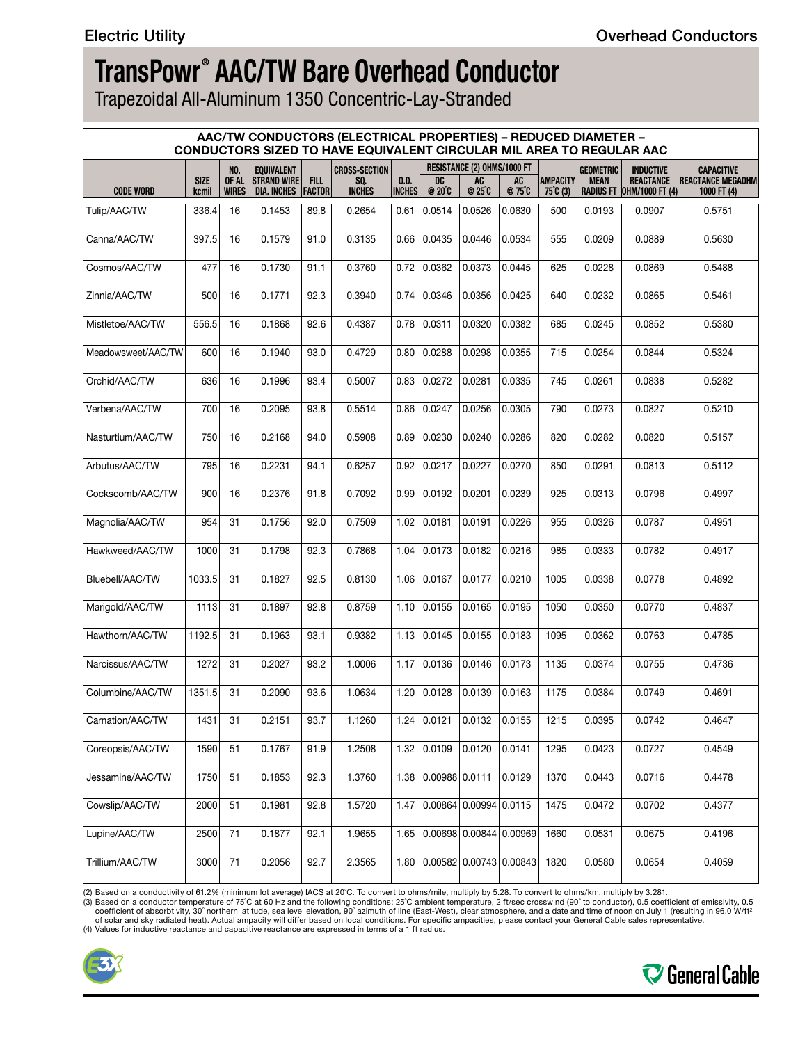Trapezoidal All-Aluminum 1350 Concentric-Lay-Stranded

| <b>AAC/TW CONDUCTORS (ELECTRICAL PROPERTIES) - REDUCED DIAMETER -</b><br>CONDUCTORS SIZED TO HAVE EQUIVALENT CIRCULAR MIL AREA TO REGULAR AAC |                      |                       |                                   |                                                     |                      |                       |                             |                            |                             |                                       |                  |                                                      |                                           |
|-----------------------------------------------------------------------------------------------------------------------------------------------|----------------------|-----------------------|-----------------------------------|-----------------------------------------------------|----------------------|-----------------------|-----------------------------|----------------------------|-----------------------------|---------------------------------------|------------------|------------------------------------------------------|-------------------------------------------|
|                                                                                                                                               |                      | <b>NO.</b>            | <b>EQUIVALENT</b>                 | RESISTANCE (2) OHMS/1000 FT<br><b>CROSS-SECTION</b> |                      |                       |                             |                            |                             |                                       | <b>GEOMETRIC</b> | <b>INDUCTIVE</b>                                     | <b>CAPACITIVE</b>                         |
| <b>CODE WORD</b>                                                                                                                              | <b>SIZE</b><br>kcmil | OF AL<br><b>WIRES</b> | <b>STRAND WIRE</b><br>DIA. INCHES | <b>FILL</b><br><b>FACTOR</b>                        | SQ.<br><b>INCHES</b> | 0.D.<br><b>INCHES</b> | DC<br>$@20^{\circ}C$        | <b>AC</b><br>@ 25°C        | AC<br>@ 75°C                | <b>AMPACITY</b><br>$75^{\circ}$ C (3) | <b>MEAN</b>      | <b>REACTANCE</b><br><b>RADIUS FT OHM/1000 FT (4)</b> | <b>REACTANCE MEGAOHM</b><br>1000 FT $(4)$ |
| Tulip/AAC/TW                                                                                                                                  | 336.4                | 16                    | 0.1453                            | 89.8                                                | 0.2654               | 0.61                  | 0.0514                      | 0.0526                     | 0.0630                      | 500                                   | 0.0193           | 0.0907                                               | 0.5751                                    |
| Canna/AAC/TW                                                                                                                                  | 397.5                | 16                    | 0.1579                            | 91.0                                                | 0.3135               | 0.66                  | 0.0435                      | 0.0446                     | 0.0534                      | 555                                   | 0.0209           | 0.0889                                               | 0.5630                                    |
| Cosmos/AAC/TW                                                                                                                                 | 477                  | 16                    | 0.1730                            | 91.1                                                | 0.3760               | 0.72                  | 0.0362                      | 0.0373                     | 0.0445                      | 625                                   | 0.0228           | 0.0869                                               | 0.5488                                    |
| Zinnia/AAC/TW                                                                                                                                 | 500                  | 16                    | 0.1771                            | 92.3                                                | 0.3940               | 0.74                  | 0.0346                      | 0.0356                     | 0.0425                      | 640                                   | 0.0232           | 0.0865                                               | 0.5461                                    |
| Mistletoe/AAC/TW                                                                                                                              | 556.5                | 16                    | 0.1868                            | 92.6                                                | 0.4387               | 0.78                  | 0.0311                      | 0.0320                     | 0.0382                      | 685                                   | 0.0245           | 0.0852                                               | 0.5380                                    |
| Meadowsweet/AAC/TW                                                                                                                            | 600                  | 16                    | 0.1940                            | 93.0                                                | 0.4729               | 0.80                  | 0.0288                      | 0.0298                     | 0.0355                      | 715                                   | 0.0254           | 0.0844                                               | 0.5324                                    |
| Orchid/AAC/TW                                                                                                                                 | 636                  | 16                    | 0.1996                            | 93.4                                                | 0.5007               | 0.83                  | 0.0272                      | 0.0281                     | 0.0335                      | 745                                   | 0.0261           | 0.0838                                               | 0.5282                                    |
| Verbena/AAC/TW                                                                                                                                | 700                  | 16                    | 0.2095                            | 93.8                                                | 0.5514               | 0.86                  | 0.0247                      | 0.0256                     | 0.0305                      | 790                                   | 0.0273           | 0.0827                                               | 0.5210                                    |
| Nasturtium/AAC/TW                                                                                                                             | 750                  | 16                    | 0.2168                            | 94.0                                                | 0.5908               | 0.89                  | 0.0230                      | $\overline{0.0240}$        | 0.0286                      | 820                                   | 0.0282           | 0.0820                                               | 0.5157                                    |
| Arbutus/AAC/TW                                                                                                                                | 795                  | 16                    | 0.2231                            | 94.1                                                | 0.6257               | 0.92                  | 0.0217                      | 0.0227                     | 0.0270                      | 850                                   | 0.0291           | 0.0813                                               | 0.5112                                    |
| Cockscomb/AAC/TW                                                                                                                              | 900                  | 16                    | 0.2376                            | 91.8                                                | 0.7092               | 0.99                  | 0.0192                      | 0.0201                     | 0.0239                      | 925                                   | 0.0313           | 0.0796                                               | 0.4997                                    |
| Magnolia/AAC/TW                                                                                                                               | 954                  | 31                    | 0.1756                            | 92.0                                                | 0.7509               | 1.02                  | 0.0181                      | 0.0191                     | 0.0226                      | 955                                   | 0.0326           | 0.0787                                               | 0.4951                                    |
| Hawkweed/AAC/TW                                                                                                                               | 1000                 | 31                    | 0.1798                            | 92.3                                                | 0.7868               | 1.04                  | 0.0173                      | 0.0182                     | 0.0216                      | 985                                   | 0.0333           | 0.0782                                               | 0.4917                                    |
| Bluebell/AAC/TW                                                                                                                               | 1033.5               | 31                    | 0.1827                            | 92.5                                                | 0.8130               | 1.06                  | 0.0167                      | 0.0177                     | 0.0210                      | 1005                                  | 0.0338           | 0.0778                                               | 0.4892                                    |
| Marigold/AAC/TW                                                                                                                               | 1113                 | 31                    | 0.1897                            | 92.8                                                | 0.8759               | 1.10                  | 0.0155                      | 0.0165                     | 0.0195                      | 1050                                  | 0.0350           | 0.0770                                               | 0.4837                                    |
| Hawthorn/AAC/TW                                                                                                                               | 1192.5               | 31                    | 0.1963                            | 93.1                                                | 0.9382               | 1.13                  | 0.0145                      | 0.0155                     | 0.0183                      | 1095                                  | 0.0362           | 0.0763                                               | 0.4785                                    |
| Narcissus/AAC/TW                                                                                                                              | 1272                 | 31                    | 0.2027                            | 93.2                                                | 1.0006               | 1.17                  | 0.0136                      | 0.0146                     | 0.0173                      | 1135                                  | 0.0374           | 0.0755                                               | 0.4736                                    |
| Columbine/AAC/TW                                                                                                                              | 1351.5               | 31                    | 0.2090                            | 93.6                                                | 1.0634               | 1.20                  | 0.0128                      | 0.0139                     | 0.0163                      | 1175                                  | 0.0384           | 0.0749                                               | 0.4691                                    |
| Carnation/AAC/TW                                                                                                                              | 1431                 | 31                    | 0.2151                            | 93.7                                                | 1.1260               |                       | $1.24$ 0.0121 0.0132 0.0155 |                            |                             | 1215                                  | 0.0395           | 0.0742                                               | 0.4647                                    |
| Coreopsis/AAC/TW                                                                                                                              | 1590                 | 51                    | 0.1767                            | 91.9                                                | 1.2508               | 1.32                  | 0.0109                      | 0.0120                     | 0.0141                      | 1295                                  | 0.0423           | 0.0727                                               | 0.4549                                    |
| Jessamine/AAC/TW                                                                                                                              | 1750                 | 51                    | 0.1853                            | 92.3                                                | 1.3760               | 1.38                  | 0.00988 0.0111              |                            | 0.0129                      | 1370                                  | 0.0443           | 0.0716                                               | 0.4478                                    |
| Cowslip/AAC/TW                                                                                                                                | 2000                 | 51                    | 0.1981                            | 92.8                                                | 1.5720               | 1.47                  |                             | 0.00864   0.00994   0.0115 |                             | 1475                                  | 0.0472           | 0.0702                                               | 0.4377                                    |
| Lupine/AAC/TW                                                                                                                                 | 2500                 | 71                    | 0.1877                            | 92.1                                                | 1.9655               | 1.65                  |                             |                            | 0.00698   0.00844   0.00969 | 1660                                  | 0.0531           | 0.0675                                               | 0.4196                                    |
| Trillium/AAC/TW                                                                                                                               | 3000                 | $\overline{71}$       | 0.2056                            | 92.7                                                | 2.3565               | 1.80                  |                             |                            | 0.00582   0.00743   0.00843 | 1820                                  | 0.0580           | 0.0654                                               | 0.4059                                    |

(2) Based on a conductivity of 61.2% (minimum lot average) IACS at 20°C. To convert to ohms/mile, multiply by 5.28. To convert to ohms/km, multiply by 3.281.<br>(3) Based on a conductor temperature of 75°C at 60 Hz and the fo of solar and sky radiated heat). Actual ampacity will differ based on local conditions. For specific ampacities, please contact your General Cable sales representative.<br>(4) Values for inductive reactance and capacitive rea





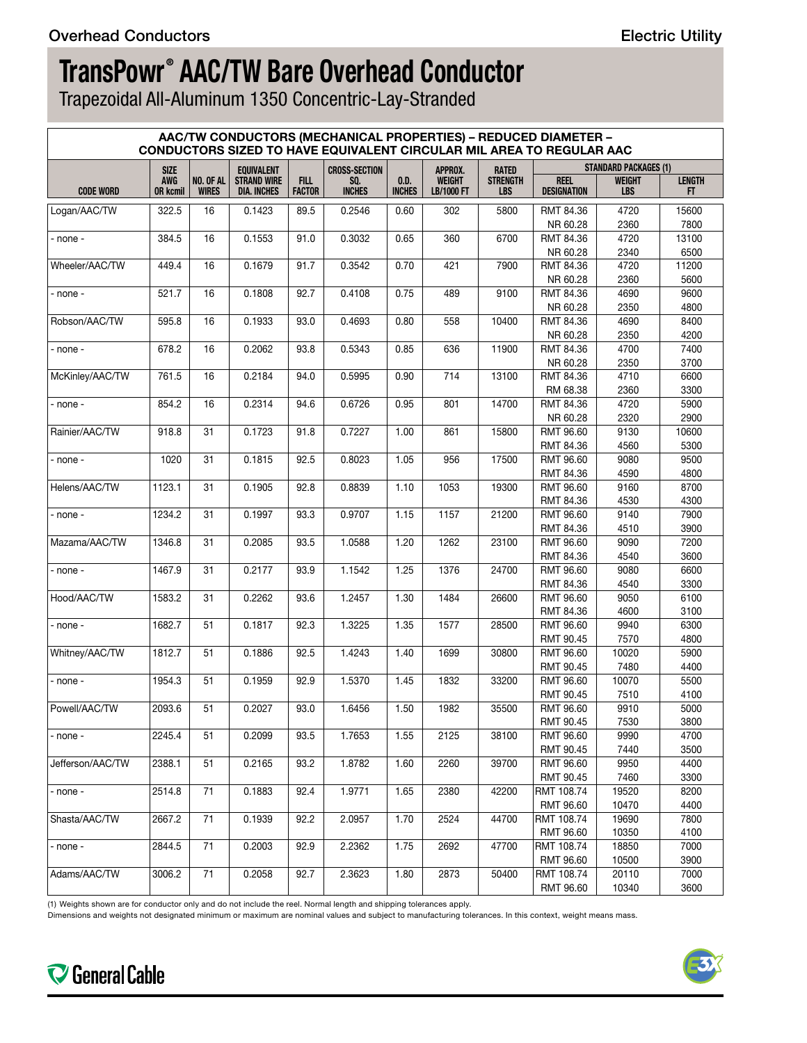Trapezoidal All-Aluminum 1350 Concentric-Lay-Stranded

| <b>AAC/TW CONDUCTORS (MECHANICAL PROPERTIES) - REDUCED DIAMETER -</b><br>CONDUCTORS SIZED TO HAVE EQUIVALENT CIRCULAR MIL AREA TO REGULAR AAC |                               |                           |                                          |                              |                      |                       |                             |                               |                                   |                              |                     |  |
|-----------------------------------------------------------------------------------------------------------------------------------------------|-------------------------------|---------------------------|------------------------------------------|------------------------------|----------------------|-----------------------|-----------------------------|-------------------------------|-----------------------------------|------------------------------|---------------------|--|
|                                                                                                                                               | <b>SIZE</b>                   |                           | <b>EQUIVALENT</b>                        |                              | <b>CROSS-SECTION</b> |                       | APPROX.                     | <b>RATED</b>                  |                                   | <b>STANDARD PACKAGES (1)</b> |                     |  |
| <b>CODE WORD</b>                                                                                                                              | <b>AWG</b><br><b>OR kcmil</b> | NO. OF AL<br><b>WIRES</b> | <b>STRAND WIRE</b><br><b>DIA. INCHES</b> | <b>FILL</b><br><b>FACTOR</b> | SQ.<br><b>INCHES</b> | 0.D.<br><b>INCHES</b> | <b>WEIGHT</b><br>LB/1000 FT | <b>STRENGTH</b><br><b>LBS</b> | <b>REEL</b><br><b>DESIGNATION</b> | <b>WEIGHT</b><br><b>LBS</b>  | <b>LENGTH</b><br>FT |  |
| Logan/AAC/TW                                                                                                                                  | 322.5                         | 16                        | 0.1423                                   | 89.5                         | 0.2546               | 0.60                  | 302                         | 5800                          | RMT 84.36<br>NR 60.28             | 4720<br>2360                 | 15600<br>7800       |  |
| - none -                                                                                                                                      | 384.5                         | 16                        | 0.1553                                   | 91.0                         | 0.3032               | 0.65                  | 360                         | 6700                          | RMT 84.36                         | 4720                         | 13100               |  |
|                                                                                                                                               |                               |                           |                                          |                              |                      |                       |                             |                               | NR 60.28                          | 2340                         | 6500                |  |
| Wheeler/AAC/TW                                                                                                                                | 449.4                         | 16                        | 0.1679                                   | 91.7                         | 0.3542               | 0.70                  | 421                         | 7900                          | RMT 84.36                         | 4720                         | 11200               |  |
|                                                                                                                                               |                               |                           |                                          |                              |                      |                       |                             |                               | NR 60.28                          | 2360                         | 5600                |  |
| - none -                                                                                                                                      | 521.7                         | 16                        | 0.1808                                   | 92.7                         | 0.4108               | 0.75                  | 489                         | 9100                          | RMT 84.36                         | 4690                         | 9600                |  |
|                                                                                                                                               |                               |                           |                                          |                              |                      |                       |                             |                               | NR 60.28                          | 2350                         | 4800                |  |
| Robson/AAC/TW                                                                                                                                 | 595.8                         | 16                        | 0.1933                                   | 93.0                         | 0.4693               | 0.80                  | 558                         | 10400                         | RMT 84.36                         | 4690                         | 8400                |  |
|                                                                                                                                               |                               |                           |                                          |                              |                      |                       |                             |                               | NR 60.28                          | 2350                         | 4200                |  |
| - none -                                                                                                                                      | 678.2                         | 16                        | 0.2062                                   | 93.8                         | 0.5343               | 0.85                  | 636                         | 11900                         | RMT 84.36                         | 4700                         | 7400                |  |
|                                                                                                                                               |                               |                           |                                          |                              |                      |                       |                             |                               | NR 60.28                          | 2350                         | 3700                |  |
| McKinley/AAC/TW                                                                                                                               | 761.5                         | 16                        | 0.2184                                   | 94.0                         | 0.5995               | 0.90                  | 714                         | 13100                         | RMT 84.36                         | 4710                         | 6600                |  |
|                                                                                                                                               |                               |                           |                                          |                              |                      |                       |                             |                               | RM 68.38                          | 2360                         | 3300                |  |
| - none -                                                                                                                                      | 854.2                         | 16                        | 0.2314                                   | 94.6                         | 0.6726               | 0.95                  | 801                         | 14700                         | RMT 84.36                         | 4720                         | 5900                |  |
|                                                                                                                                               |                               |                           |                                          |                              |                      |                       |                             |                               | NR 60.28                          | 2320                         | 2900                |  |
| Rainier/AAC/TW                                                                                                                                | 918.8                         | 31                        | 0.1723                                   | 91.8                         | 0.7227               | 1.00                  | 861                         | 15800                         | RMT 96.60                         | 9130                         | 10600               |  |
|                                                                                                                                               | 1020                          | 31                        | 0.1815                                   | 92.5                         | 0.8023               | 1.05                  | 956                         | 17500                         | RMT 84.36<br><b>RMT 96.60</b>     | 4560<br>9080                 | 5300                |  |
| - none -                                                                                                                                      |                               |                           |                                          |                              |                      |                       |                             |                               | RMT 84.36                         | 4590                         | 9500<br>4800        |  |
| Helens/AAC/TW                                                                                                                                 | 1123.1                        | 31                        | 0.1905                                   | 92.8                         | 0.8839               | 1.10                  | 1053                        | 19300                         | RMT 96.60                         | 9160                         | 8700                |  |
|                                                                                                                                               |                               |                           |                                          |                              |                      |                       |                             |                               | RMT 84.36                         | 4530                         | 4300                |  |
| - none -                                                                                                                                      | 1234.2                        | 31                        | 0.1997                                   | 93.3                         | 0.9707               | 1.15                  | 1157                        | 21200                         | RMT 96.60                         | 9140                         | 7900                |  |
|                                                                                                                                               |                               |                           |                                          |                              |                      |                       |                             |                               | RMT 84.36                         | 4510                         | 3900                |  |
| Mazama/AAC/TW                                                                                                                                 | 1346.8                        | 31                        | 0.2085                                   | 93.5                         | 1.0588               | 1.20                  | 1262                        | 23100                         | RMT 96.60                         | 9090                         | 7200                |  |
|                                                                                                                                               |                               |                           |                                          |                              |                      |                       |                             |                               | RMT 84.36                         | 4540                         | 3600                |  |
| - none -                                                                                                                                      | 1467.9                        | 31                        | 0.2177                                   | 93.9                         | 1.1542               | 1.25                  | 1376                        | 24700                         | <b>RMT 96.60</b>                  | 9080                         | 6600                |  |
|                                                                                                                                               |                               |                           |                                          |                              |                      |                       |                             |                               | RMT 84.36                         | 4540                         | 3300                |  |
| Hood/AAC/TW                                                                                                                                   | 1583.2                        | 31                        | 0.2262                                   | 93.6                         | 1.2457               | 1.30                  | 1484                        | 26600                         | RMT 96.60                         | 9050                         | 6100                |  |
|                                                                                                                                               |                               |                           |                                          |                              |                      |                       |                             |                               | RMT 84.36                         | 4600                         | 3100                |  |
| - none -                                                                                                                                      | 1682.7                        | 51                        | 0.1817                                   | 92.3                         | 1.3225               | 1.35                  | 1577                        | 28500                         | RMT 96.60                         | 9940                         | 6300                |  |
|                                                                                                                                               |                               |                           |                                          |                              |                      |                       |                             |                               | RMT 90.45                         | 7570                         | 4800                |  |
| Whitney/AAC/TW                                                                                                                                | 1812.7                        | 51                        | 0.1886                                   | 92.5                         | 1.4243               | 1.40                  | 1699                        | 30800                         | RMT 96.60                         | 10020                        | 5900                |  |
|                                                                                                                                               |                               |                           |                                          |                              |                      |                       |                             |                               | RMT 90.45                         | 7480                         | 4400                |  |
| - none -                                                                                                                                      | 1954.3                        | 51                        | 0.1959                                   | 92.9                         | 1.5370               | 1.45                  | 1832                        | 33200                         | <b>RMT 96.60</b>                  | 10070                        | 5500                |  |
|                                                                                                                                               |                               |                           |                                          |                              |                      |                       |                             |                               | RMT 90.45                         | 7510                         | 4100                |  |
| Powell/AAC/TW                                                                                                                                 | 2093.6                        | 51                        | 0.2027                                   | 93.0                         | 1.6456               | 1.50                  | 1982                        | 35500                         | RMT 96.60                         | 9910                         | 5000                |  |
|                                                                                                                                               |                               |                           |                                          |                              |                      |                       |                             |                               | RMT 90.45                         | 7530                         | 3800                |  |
| - none -                                                                                                                                      | 2245.4                        | 51                        | 0.2099                                   | 93.5                         | 1.7653               | 1.55                  | 2125                        | 38100                         | RMT 96.60<br>RMT 90.45            | 9990<br>7440                 | 4700<br>3500        |  |
| Jefferson/AAC/TW                                                                                                                              | 2388.1                        | 51                        | 0.2165                                   | 93.2                         | 1.8782               | 1.60                  | 2260                        | 39700                         | RMT 96.60                         | 9950                         | 4400                |  |
|                                                                                                                                               |                               |                           |                                          |                              |                      |                       |                             |                               | RMT 90.45                         | 7460                         | 3300                |  |
| - none -                                                                                                                                      | 2514.8                        | 71                        | 0.1883                                   | 92.4                         | 1.9771               | 1.65                  | 2380                        | 42200                         | RMT 108.74                        | 19520                        | 8200                |  |
|                                                                                                                                               |                               |                           |                                          |                              |                      |                       |                             |                               | RMT 96.60                         | 10470                        | 4400                |  |
| Shasta/AAC/TW                                                                                                                                 | 2667.2                        | 71                        | 0.1939                                   | 92.2                         | 2.0957               | 1.70                  | 2524                        | 44700                         | RMT 108.74                        | 19690                        | 7800                |  |
|                                                                                                                                               |                               |                           |                                          |                              |                      |                       |                             |                               | RMT 96.60                         | 10350                        | 4100                |  |
| - none -                                                                                                                                      | 2844.5                        | 71                        | 0.2003                                   | 92.9                         | 2.2362               | 1.75                  | 2692                        | 47700                         | RMT 108.74                        | 18850                        | 7000                |  |
|                                                                                                                                               |                               |                           |                                          |                              |                      |                       |                             |                               | RMT 96.60                         | 10500                        | 3900                |  |
| Adams/AAC/TW                                                                                                                                  | 3006.2                        | 71                        | 0.2058                                   | 92.7                         | 2.3623               | 1.80                  | 2873                        | 50400                         | RMT 108.74                        | 20110                        | 7000                |  |
|                                                                                                                                               |                               |                           |                                          |                              |                      |                       |                             |                               | RMT 96.60                         | 10340                        | 3600                |  |

(1) Weights shown are for conductor only and do not include the reel. Normal length and shipping tolerances apply.

Dimensions and weights not designated minimum or maximum are nominal values and subject to manufacturing tolerances. In this context, weight means mass.